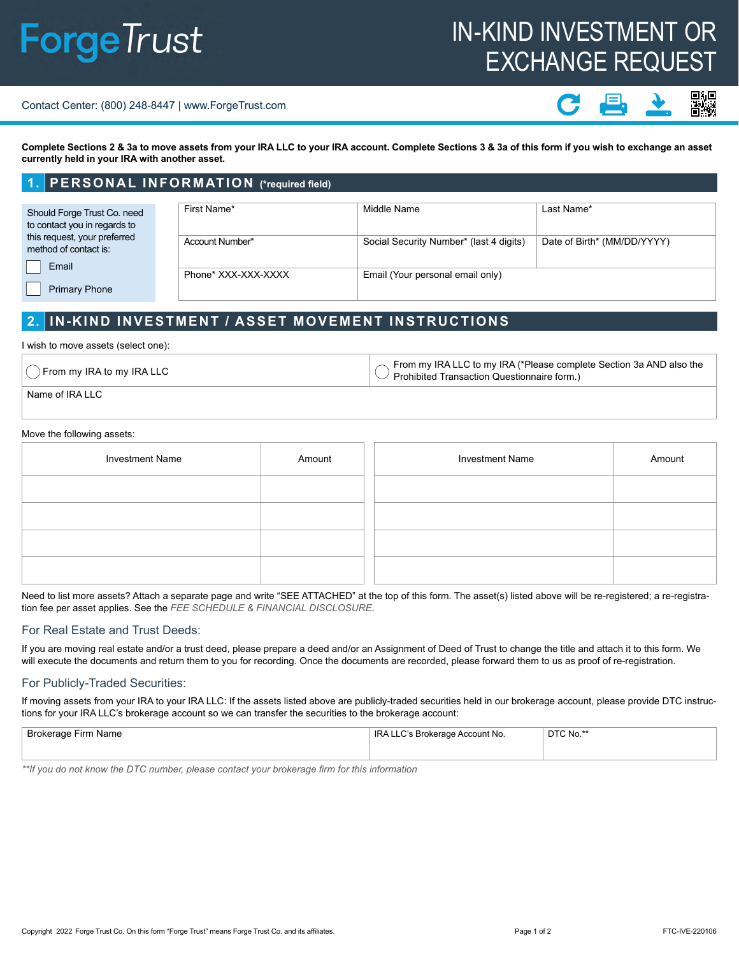# **ForgeTrust**

# IN-KIND INVESTMENT OR EXCHANGE REQUEST

#### Contact Center: (800) 248-8447 | www.ForgeTrust.com



**Complete Sections 2 & 3a to move assets from your IRA LLC to your IRA account. Complete Sections 3 & 3a of this form if you wish to exchange an asset currently held in your IRA with another asset.**

#### **1. PERSONAL INFORMATION (\*required field)**

| Should Forge Trust Co. need  | First Name*         | Middle Name                             | Last Name*                  |  |
|------------------------------|---------------------|-----------------------------------------|-----------------------------|--|
| to contact you in regards to |                     |                                         |                             |  |
| this request, your preferred | Account Number*     | Social Security Number* (last 4 digits) | Date of Birth* (MM/DD/YYYY) |  |
| method of contact is:        |                     |                                         |                             |  |
| Email                        |                     |                                         |                             |  |
|                              | Phone* XXX-XXX-XXXX | Email (Your personal email only)        |                             |  |
| <b>Primary Phone</b>         |                     |                                         |                             |  |

# **2. IN-KIND INVESTMENT / ASSET MOVEMENT INSTRUCTIONS**

#### I wish to move assets (select one):

From my IRA to my IRA LLC From my IRA LLC to my IRA (\*Please complete Section 3a AND also the Section 3a AND also the Prohibited Transaction Questionnaire form.)

#### Name of IRA LLC

#### Move the following assets:

| <b>Investment Name</b> | Amount | <b>Investment Name</b> | Amount |
|------------------------|--------|------------------------|--------|
|                        |        |                        |        |
|                        |        |                        |        |
|                        |        |                        |        |
|                        |        |                        |        |

Need to list more assets? Attach a separate page and write "SEE ATTACHED" at the top of this form. The asset(s) listed above will be re-registered; a re-registration fee per asset applies. See the *FEE SCHEDULE & FINANCIAL DISCLOSURE*.

#### For Real Estate and Trust Deeds:

If you are moving real estate and/or a trust deed, please prepare a deed and/or an Assignment of Deed of Trust to change the title and attach it to this form. We will execute the documents and return them to you for recording. Once the documents are recorded, please forward them to us as proof of re-registration.

#### For Publicly-Traded Securities:

If moving assets from your IRA to your IRA LLC: If the assets listed above are publicly-traded securities held in our brokerage account, please provide DTC instructions for your IRA LLC's brokerage account so we can transfer the securities to the brokerage account:

| $\sim$              | <b>IRA</b>                 | DTC No.** |
|---------------------|----------------------------|-----------|
| Brokerage Firm Name | LC's Brokerage Account No. |           |
|                     |                            |           |

*\*\*If you do not know the DTC number, please contact your brokerage firm for this information*